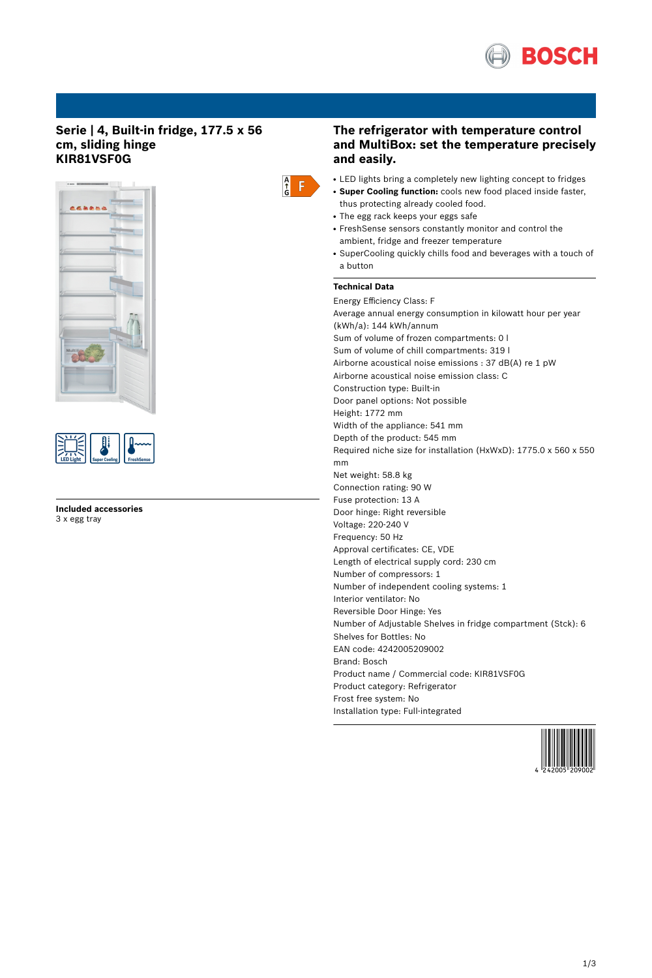

## **Serie | 4, Built-in fridge, 177.5 x 56 cm, sliding hinge KIR81VSF0G**





**Included accessories** 3 x egg tray



## **The refrigerator with temperature control and MultiBox: set the temperature precisely and easily.**

- LED lights bring a completely new lighting concept to fridges
- **Super Cooling function:** cools new food placed inside faster, thus protecting already cooled food.
- The egg rack keeps your eggs safe
- FreshSense sensors constantly monitor and control the ambient, fridge and freezer temperature
- SuperCooling quickly chills food and beverages with a touch of a button

# **Technical Data**

Energy Efficiency Class: F Average annual energy consumption in kilowatt hour per year (kWh/a): 144 kWh/annum Sum of volume of frozen compartments: 0 l Sum of volume of chill compartments: 319 l Airborne acoustical noise emissions : 37 dB(A) re 1 pW Airborne acoustical noise emission class: C Construction type: Built-in Door panel options: Not possible Height: 1772 mm Width of the appliance: 541 mm Depth of the product: 545 mm Required niche size for installation (HxWxD): 1775.0 x 560 x 550 mm Net weight: 58.8 kg Connection rating: 90 W Fuse protection: 13 A Door hinge: Right reversible Voltage: 220-240 V Frequency: 50 Hz Approval certificates: CE, VDE Length of electrical supply cord: 230 cm Number of compressors: 1 Number of independent cooling systems: 1 Interior ventilator: No Reversible Door Hinge: Yes Number of Adjustable Shelves in fridge compartment (Stck): 6 Shelves for Bottles: No EAN code: 4242005209002 Brand: Bosch Product name / Commercial code: KIR81VSF0G Product category: Refrigerator Frost free system: No Installation type: Full-integrated

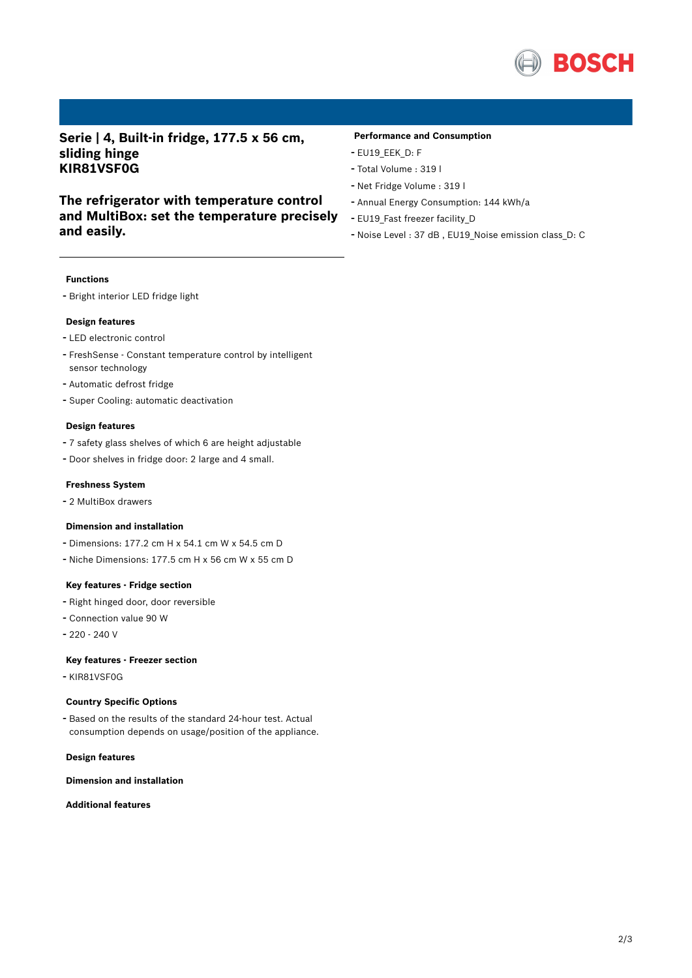

**Serie | 4, Built-in fridge, 177.5 x 56 cm, sliding hinge KIR81VSF0G**

# **The refrigerator with temperature control and MultiBox: set the temperature precisely and easily.**

### **Performance and Consumption**

- EU19\_EEK\_D: F
- Total Volume : <sup>319</sup> <sup>l</sup>
- Net Fridge Volume : <sup>319</sup> <sup>l</sup>
- Annual Energy Consumption: <sup>144</sup> kWh/a
- EU19\_Fast freezer facility\_D
- Noise Level : <sup>37</sup> dB , EU19\_Noise emission class\_D: <sup>C</sup>

#### **Functions**

- Bright interior LED fridge light

#### **Design features**

- LED electronic control
- FreshSense Constant temperature control by intelligent sensor technology
- Automatic defrost fridge
- Super Cooling: automatic deactivation

#### **Design features**

- <sup>7</sup> safety glass shelves of which <sup>6</sup> are height adjustable
- Door shelves in fridge door: <sup>2</sup> large and <sup>4</sup> small.

#### **Freshness System**

- <sup>2</sup> MultiBox drawers

## **Dimension and installation**

- Dimensions: 177.2 cm H x 54.1 cm W x 54.5 cm D
- Niche Dimensions: 177.5 cm <sup>H</sup> <sup>x</sup> <sup>56</sup> cm <sup>W</sup> <sup>x</sup> <sup>55</sup> cm <sup>D</sup>

#### **Key features - Fridge section**

- Right hinged door, door reversible
- Connection value <sup>90</sup> <sup>W</sup>
- 220 240 V

#### **Key features - Freezer section**

- KIR81VSF0G

#### **Country Specific Options**

- Based on the results of the standard 24-hour test. Actual consumption depends on usage/position of the appliance.

#### **Design features**

**Dimension and installation**

**Additional features**